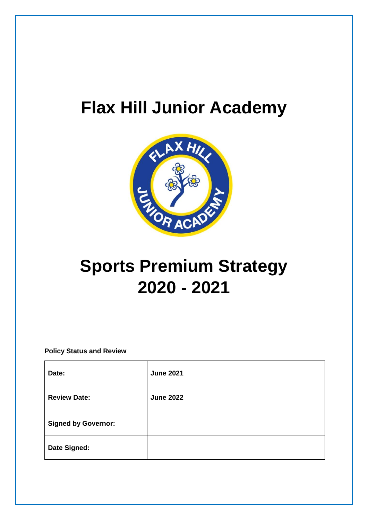# **Flax Hill Junior Academy**



# **Sports Premium Strategy 2020 - 2021**

**Policy Status and Review**

| Date:                      | <b>June 2021</b> |
|----------------------------|------------------|
| <b>Review Date:</b>        | <b>June 2022</b> |
| <b>Signed by Governor:</b> |                  |
| Date Signed:               |                  |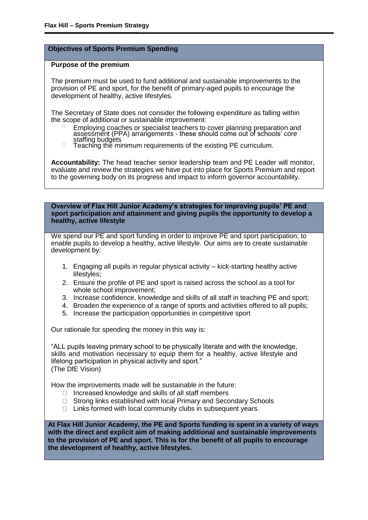#### **Objectives of Sports Premium Spending**

#### **Purpose of the premium**

The premium must be used to fund additional and sustainable improvements to the provision of PE and sport, for the benefit of primary-aged pupils to encourage the development of healthy, active lifestyles.

The Secretary of State does not consider the following expenditure as falling within the scope of additional or sustainable improvement:

- Employing coaches or specialist teachers to cover planning preparation and assessment (PPA) arrangements - these should come out of schools' core staffing budgets
- $\Box$ Teaching the minimum requirements of the existing PE curriculum.

**Accountability:** The head teacher senior leadership team and PE Leader will monitor, evaluate and review the strategies we have put into place for Sports Premium and report to the governing body on its progress and impact to inform governor accountability.

**Overview of Flax Hill Junior Academy's strategies for improving pupils' PE and sport participation and attainment and giving pupils the opportunity to develop a healthy, active lifestyle**

We spend our PE and sport funding in order to improve PE and sport participation; to enable pupils to develop a healthy, active lifestyle. Our aims are to create sustainable development by:

- 1. Engaging all pupils in regular physical activity kick-starting healthy active lifestyles;
- 2. Ensure the profile of PE and sport is raised across the school as a tool for whole school improvement;
- 3. Increase confidence, knowledge and skills of all staff in teaching PE and sport;
- 4. Broaden the experience of a range of sports and activities offered to all pupils;
- 5. Increase the participation opportunities in competitive sport

Our rationale for spending the money in this way is:

"ALL pupils leaving primary school to be physically literate and with the knowledge, skills and motivation necessary to equip them for a healthy, active lifestyle and lifelong participation in physical activity and sport." (The DfE Vision)

How the improvements made will be sustainable in the future:

- $\Box$  Increased knowledge and skills of all staff members
- □ Strong links established with local Primary and Secondary Schools
- $\Box$  Links formed with local community clubs in subsequent years.

**At Flax Hill Junior Academy, the PE and Sports funding is spent in a variety of ways with the direct and explicit aim of making additional and sustainable improvements to the provision of PE and sport. This is for the benefit of all pupils to encourage the development of healthy, active lifestyles.**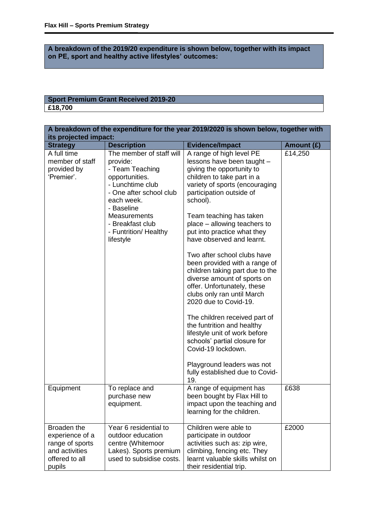**A breakdown of the 2019/20 expenditure is shown below, together with its impact on PE, sport and healthy active lifestyles' outcomes:**

## **Sport Premium Grant Received 2019-20 £18,700**

| A breakdown of the expenditure for the year 2019/2020 is shown below, together with<br>its projected impact: |                                                                                                                                                                                                                                                             |                                                                                                                                                                                                                                                                                                                                                                                                                                                                                                                                                                                                           |                       |
|--------------------------------------------------------------------------------------------------------------|-------------------------------------------------------------------------------------------------------------------------------------------------------------------------------------------------------------------------------------------------------------|-----------------------------------------------------------------------------------------------------------------------------------------------------------------------------------------------------------------------------------------------------------------------------------------------------------------------------------------------------------------------------------------------------------------------------------------------------------------------------------------------------------------------------------------------------------------------------------------------------------|-----------------------|
| <b>Strategy</b>                                                                                              |                                                                                                                                                                                                                                                             | <b>Evidence/Impact</b>                                                                                                                                                                                                                                                                                                                                                                                                                                                                                                                                                                                    |                       |
| A full time<br>member of staff<br>provided by<br>'Premier'.                                                  | <b>Description</b><br>The member of staff will<br>provide:<br>- Team Teaching<br>opportunities.<br>- Lunchtime club<br>- One after school club<br>each week.<br>- Baseline<br><b>Measurements</b><br>- Breakfast club<br>- Funtrition/ Healthy<br>lifestyle | A range of high level PE<br>lessons have been taught -<br>giving the opportunity to<br>children to take part in a<br>variety of sports (encouraging<br>participation outside of<br>school).<br>Team teaching has taken<br>place – allowing teachers to<br>put into practice what they<br>have observed and learnt.<br>Two after school clubs have<br>been provided with a range of<br>children taking part due to the<br>diverse amount of sports on<br>offer. Unfortunately, these<br>clubs only ran until March<br>2020 due to Covid-19.<br>The children received part of<br>the funtrition and healthy | Amount (£)<br>£14,250 |
|                                                                                                              |                                                                                                                                                                                                                                                             | lifestyle unit of work before<br>schools' partial closure for<br>Covid-19 lockdown.<br>Playground leaders was not<br>fully established due to Covid-<br>19.                                                                                                                                                                                                                                                                                                                                                                                                                                               |                       |
| Equipment                                                                                                    | To replace and<br>purchase new<br>equipment.                                                                                                                                                                                                                | A range of equipment has<br>been bought by Flax Hill to<br>impact upon the teaching and<br>learning for the children.                                                                                                                                                                                                                                                                                                                                                                                                                                                                                     | £638                  |
| Broaden the<br>experience of a<br>range of sports<br>and activities<br>offered to all<br>pupils              | Year 6 residential to<br>outdoor education<br>centre (Whitemoor<br>Lakes). Sports premium<br>used to subsidise costs.                                                                                                                                       | Children were able to<br>participate in outdoor<br>activities such as: zip wire,<br>climbing, fencing etc. They<br>learnt valuable skills whilst on<br>their residential trip.                                                                                                                                                                                                                                                                                                                                                                                                                            | £2000                 |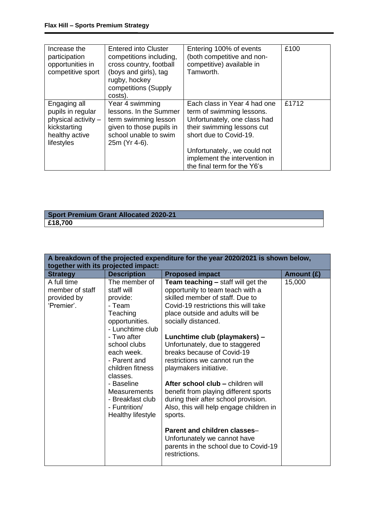| Increase the<br>participation<br>opportunities in<br>competitive sport                                   | <b>Entered into Cluster</b><br>competitions including,<br>cross country, football<br>(boys and girls), tag<br>rugby, hockey<br>competitions (Supply<br>costs). | Entering 100% of events<br>(both competitive and non-<br>competitive) available in<br>Tamworth.                                                                                                                                                   | £100  |
|----------------------------------------------------------------------------------------------------------|----------------------------------------------------------------------------------------------------------------------------------------------------------------|---------------------------------------------------------------------------------------------------------------------------------------------------------------------------------------------------------------------------------------------------|-------|
| Engaging all<br>pupils in regular<br>physical activity -<br>kickstarting<br>healthy active<br>lifestyles | Year 4 swimming<br>lessons. In the Summer<br>term swimming lesson<br>given to those pupils in<br>school unable to swim<br>25m (Yr 4-6).                        | Each class in Year 4 had one<br>term of swimming lessons.<br>Unfortunately, one class had<br>their swimming lessons cut<br>short due to Covid-19.<br>Unfortunately., we could not<br>implement the intervention in<br>the final term for the Y6's | £1712 |

#### **Sport Premium Grant Allocated 2020-21 £18,700**

| A breakdown of the projected expenditure for the year 2020/2021 is shown below,<br>together with its projected impact: |                                 |                                                                                                                                 |              |
|------------------------------------------------------------------------------------------------------------------------|---------------------------------|---------------------------------------------------------------------------------------------------------------------------------|--------------|
| <b>Strategy</b>                                                                                                        | <b>Description</b>              | <b>Proposed impact</b>                                                                                                          | Amount $(E)$ |
| A full time                                                                                                            | The member of                   | <b>Team teaching – staff will get the</b>                                                                                       | 15,000       |
| member of staff                                                                                                        | staff will                      | opportunity to team teach with a                                                                                                |              |
| provided by                                                                                                            | provide:                        | skilled member of staff. Due to                                                                                                 |              |
| 'Premier'.                                                                                                             | - Team                          | Covid-19 restrictions this will take                                                                                            |              |
|                                                                                                                        | Teaching                        | place outside and adults will be                                                                                                |              |
|                                                                                                                        | opportunities.                  | socially distanced.                                                                                                             |              |
|                                                                                                                        | - Lunchtime club<br>- Two after |                                                                                                                                 |              |
|                                                                                                                        | school clubs                    | Lunchtime club (playmakers) -<br>Unfortunately, due to staggered                                                                |              |
|                                                                                                                        | each week.                      | breaks because of Covid-19                                                                                                      |              |
|                                                                                                                        | - Parent and                    | restrictions we cannot run the                                                                                                  |              |
|                                                                                                                        | children fitness                | playmakers initiative.                                                                                                          |              |
|                                                                                                                        | classes.                        |                                                                                                                                 |              |
|                                                                                                                        | - Baseline                      | <b>After school club – children will</b>                                                                                        |              |
|                                                                                                                        | <b>Measurements</b>             |                                                                                                                                 |              |
|                                                                                                                        | - Breakfast club                | during their after school provision.                                                                                            |              |
|                                                                                                                        | - Funtrition/                   | Also, this will help engage children in                                                                                         |              |
|                                                                                                                        | Healthy lifestyle               | sports.                                                                                                                         |              |
|                                                                                                                        |                                 |                                                                                                                                 |              |
|                                                                                                                        |                                 | Parent and children classes-                                                                                                    |              |
|                                                                                                                        |                                 |                                                                                                                                 |              |
|                                                                                                                        |                                 |                                                                                                                                 |              |
|                                                                                                                        |                                 |                                                                                                                                 |              |
|                                                                                                                        |                                 | benefit from playing different sports<br>Unfortunately we cannot have<br>parents in the school due to Covid-19<br>restrictions. |              |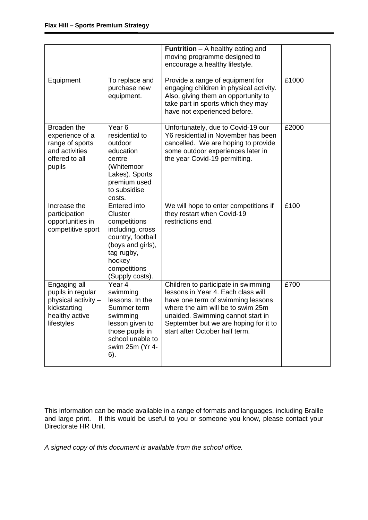|                                                                                                          |                                                                                                                                                                         | <b>Funtrition</b> $-$ A healthy eating and<br>moving programme designed to<br>encourage a healthy lifestyle.                                                                                                                                                        |       |
|----------------------------------------------------------------------------------------------------------|-------------------------------------------------------------------------------------------------------------------------------------------------------------------------|---------------------------------------------------------------------------------------------------------------------------------------------------------------------------------------------------------------------------------------------------------------------|-------|
| Equipment                                                                                                | To replace and<br>purchase new<br>equipment.                                                                                                                            | Provide a range of equipment for<br>engaging children in physical activity.<br>Also, giving them an opportunity to<br>take part in sports which they may<br>have not experienced before.                                                                            | £1000 |
| Broaden the<br>experience of a<br>range of sports<br>and activities<br>offered to all<br>pupils          | Year <sub>6</sub><br>residential to<br>outdoor<br>education<br>centre<br>(Whitemoor<br>Lakes). Sports<br>premium used<br>to subsidise<br>costs.                         | Unfortunately, due to Covid-19 our<br>Y6 residential in November has been<br>cancelled. We are hoping to provide<br>some outdoor experiences later in<br>the year Covid-19 permitting.                                                                              | £2000 |
| Increase the<br>participation<br>opportunities in<br>competitive sport                                   | Entered into<br><b>Cluster</b><br>competitions<br>including, cross<br>country, football<br>(boys and girls),<br>tag rugby,<br>hockey<br>competitions<br>(Supply costs). | We will hope to enter competitions if<br>they restart when Covid-19<br>restrictions end.                                                                                                                                                                            | £100  |
| Engaging all<br>pupils in regular<br>physical activity -<br>kickstarting<br>healthy active<br>lifestyles | Year <sub>4</sub><br>swimming<br>lessons. In the<br>Summer term<br>swimming<br>lesson given to<br>those pupils in<br>school unable to<br>swim 25m (Yr 4-<br>6).         | Children to participate in swimming<br>lessons in Year 4. Each class will<br>have one term of swimming lessons<br>where the aim will be to swim 25m<br>unaided. Swimming cannot start in<br>September but we are hoping for it to<br>start after October half term. | £700  |

This information can be made available in a range of formats and languages, including Braille and large print. If this would be useful to you or someone you know, please contact your Directorate HR Unit.

*A signed copy of this document is available from the school office.*